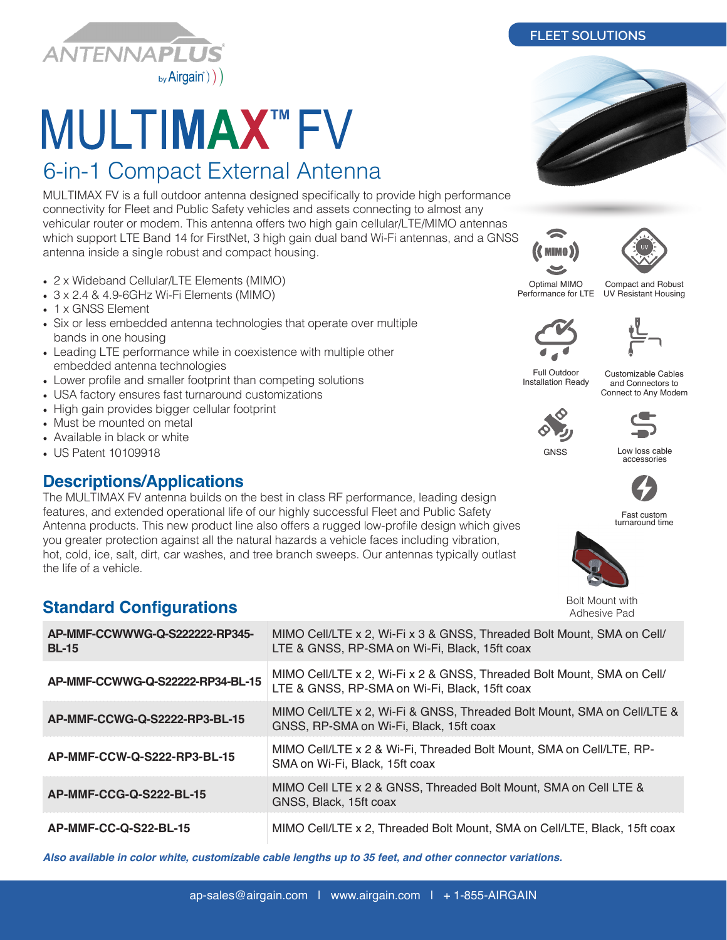

# **MULTIMAX™FV**

## 6-in-1 Compact External Antenna

MULTIMAX FV is a full outdoor antenna designed specifically to provide high performance connectivity for Fleet and Public Safety vehicles and assets connecting to almost any vehicular router or modem. This antenna offers two high gain cellular/LTE/MIMO antennas which support LTE Band 14 for FirstNet, 3 high gain dual band Wi-Fi antennas, and a GNSS antenna inside a single robust and compact housing.

- 2 x Wideband Cellular/LTE Elements (MIMO)
- 3 x 2.4 & 4.9-6GHz Wi-Fi Elements (MIMO)
- 1 x GNSS Element
- Six or less embedded antenna technologies that operate over multiple bands in one housing
- Leading LTE performance while in coexistence with multiple other embedded antenna technologies
- Lower profile and smaller footprint than competing solutions
- USA factory ensures fast turnaround customizations
- High gain provides bigger cellular footprint
- Must be mounted on metal
- Available in black or white
- US Patent 10109918

#### **Descriptions/Applications**

The MULTIMAX FV antenna builds on the best in class RF performance, leading design features, and extended operational life of our highly successful Fleet and Public Safety Antenna products. This new product line also offers a rugged low-profile design which gives you greater protection against all the natural hazards a vehicle faces including vibration, hot, cold, ice, salt, dirt, car washes, and tree branch sweeps. Our antennas typically outlast the life of a vehicle.

### **Standard Configurations**

| AP-MMF-CCWWWG-Q-S222222-RP345-<br><b>BL-15</b> | MIMO Cell/LTE x 2, Wi-Fi x 3 & GNSS, Threaded Bolt Mount, SMA on Cell/<br>LTE & GNSS, RP-SMA on Wi-Fi, Black, 15ft coax |
|------------------------------------------------|-------------------------------------------------------------------------------------------------------------------------|
| AP-MMF-CCWWG-Q-S22222-RP34-BL-15               | MIMO Cell/LTE x 2, Wi-Fi x 2 & GNSS, Threaded Bolt Mount, SMA on Cell/<br>LTE & GNSS, RP-SMA on Wi-Fi, Black, 15ft coax |
| AP-MMF-CCWG-Q-S2222-RP3-BL-15                  | MIMO Cell/LTE x 2, Wi-Fi & GNSS, Threaded Bolt Mount, SMA on Cell/LTE &<br>GNSS, RP-SMA on Wi-Fi, Black, 15ft coax      |
| AP-MMF-CCW-Q-S222-RP3-BL-15                    | MIMO Cell/LTE x 2 & Wi-Fi, Threaded Bolt Mount, SMA on Cell/LTE, RP-<br>SMA on Wi-Fi, Black, 15ft coax                  |
| AP-MMF-CCG-Q-S222-BL-15                        | MIMO Cell LTE x 2 & GNSS, Threaded Bolt Mount, SMA on Cell LTE &<br>GNSS, Black, 15ft coax                              |
| AP-MMF-CC-Q-S22-BL-15                          | MIMO Cell/LTE x 2, Threaded Bolt Mount, SMA on Cell/LTE, Black, 15ft coax                                               |

*Also available in color white, customizable cable lengths up to 35 feet, and other connector variations.*

**FLEET SOLUTIONS**

**(C** MIMO) Optimal MIMO Performance for LTE

Compact and Robust UV Resistant Housing



Full Outdoor Installation Ready

Customizable Cables and Connectors to Connect to Any Modem





Low loss cable accessories



Fast custom turnaround time



Bolt Mount with Adhesive Pad